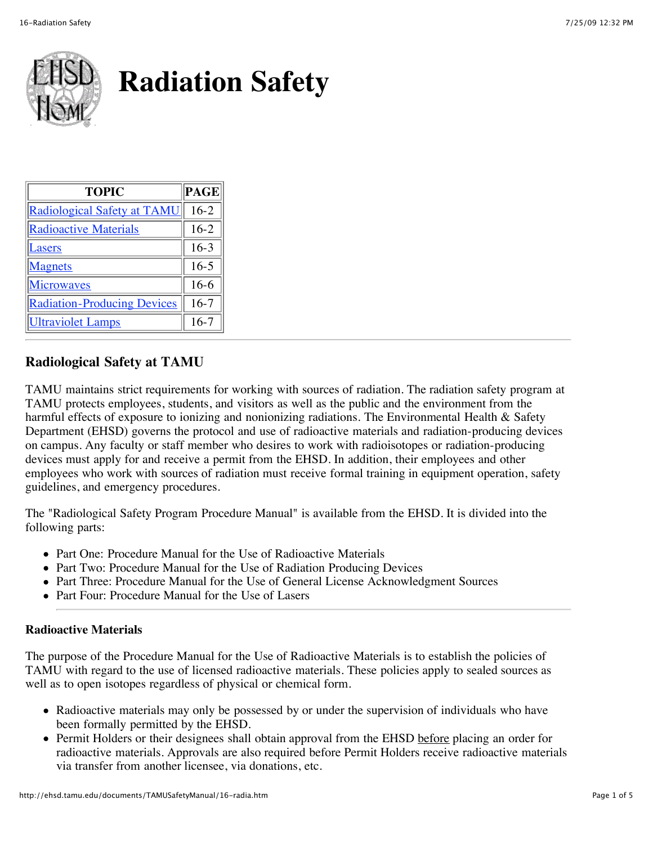

| <b>TOPIC</b>                       | <b>PAGE</b> |
|------------------------------------|-------------|
| Radiological Safety at TAMU        | $16-2$      |
| <b>Radioactive Materials</b>       | $16-2$      |
| <b>asers</b>                       | $16-3$      |
| <b>Magnets</b>                     | $16 - 5$    |
| <u>Microwaves</u>                  | $16-6$      |
| <b>Radiation-Producing Devices</b> | $16-7$      |
| Ultraviolet Lamps                  | $16-7$      |

## **Radiological Safety at TAMU**

TAMU maintains strict requirements for working with sources of radiation. The radiation safety program at TAMU protects employees, students, and visitors as well as the public and the environment from the harmful effects of exposure to ionizing and nonionizing radiations. The Environmental Health & Safety Department (EHSD) governs the protocol and use of radioactive materials and radiation-producing devices on campus. Any faculty or staff member who desires to work with radioisotopes or radiation-producing devices must apply for and receive a permit from the EHSD. In addition, their employees and other employees who work with sources of radiation must receive formal training in equipment operation, safety guidelines, and emergency procedures.

The "Radiological Safety Program Procedure Manual" is available from the EHSD. It is divided into the following parts:

- Part One: Procedure Manual for the Use of Radioactive Materials
- Part Two: Procedure Manual for the Use of Radiation Producing Devices
- Part Three: Procedure Manual for the Use of General License Acknowledgment Sources
- Part Four: Procedure Manual for the Use of Lasers

## **Radioactive Materials**

The purpose of the Procedure Manual for the Use of Radioactive Materials is to establish the policies of TAMU with regard to the use of licensed radioactive materials. These policies apply to sealed sources as well as to open isotopes regardless of physical or chemical form.

- Radioactive materials may only be possessed by or under the supervision of individuals who have been formally permitted by the EHSD.
- Permit Holders or their designees shall obtain approval from the EHSD before placing an order for radioactive materials. Approvals are also required before Permit Holders receive radioactive materials via transfer from another licensee, via donations, etc.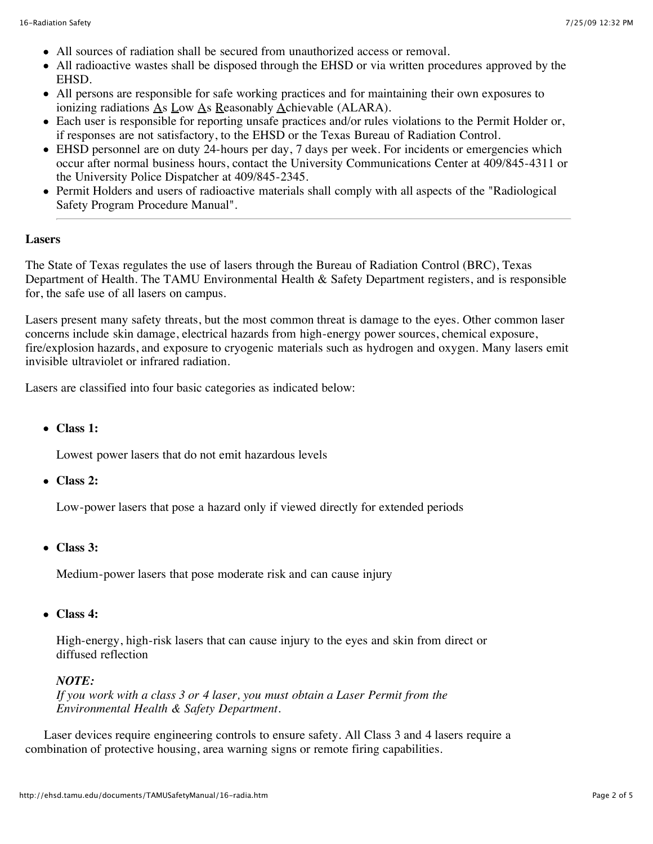- All sources of radiation shall be secured from unauthorized access or removal.
- All radioactive wastes shall be disposed through the EHSD or via written procedures approved by the EHSD.
- All persons are responsible for safe working practices and for maintaining their own exposures to ionizing radiations As Low As Reasonably Achievable (ALARA).
- Each user is responsible for reporting unsafe practices and/or rules violations to the Permit Holder or, if responses are not satisfactory, to the EHSD or the Texas Bureau of Radiation Control.
- EHSD personnel are on duty 24-hours per day, 7 days per week. For incidents or emergencies which occur after normal business hours, contact the University Communications Center at 409/845-4311 or the University Police Dispatcher at 409/845-2345.
- Permit Holders and users of radioactive materials shall comply with all aspects of the "Radiological Safety Program Procedure Manual".

#### **Lasers**

The State of Texas regulates the use of lasers through the Bureau of Radiation Control (BRC), Texas Department of Health. The TAMU Environmental Health & Safety Department registers, and is responsible for, the safe use of all lasers on campus.

Lasers present many safety threats, but the most common threat is damage to the eyes. Other common laser concerns include skin damage, electrical hazards from high-energy power sources, chemical exposure, fire/explosion hazards, and exposure to cryogenic materials such as hydrogen and oxygen. Many lasers emit invisible ultraviolet or infrared radiation.

Lasers are classified into four basic categories as indicated below:

**Class 1:**

Lowest power lasers that do not emit hazardous levels

**Class 2:**

Low-power lasers that pose a hazard only if viewed directly for extended periods

**Class 3:**

Medium-power lasers that pose moderate risk and can cause injury

**Class 4:**

 High-energy, high-risk lasers that can cause injury to the eyes and skin from direct or diffused reflection

### *NOTE:*

*If you work with a class 3 or 4 laser, you must obtain a Laser Permit from the Environmental Health & Safety Department.*

 Laser devices require engineering controls to ensure safety. All Class 3 and 4 lasers require a combination of protective housing, area warning signs or remote firing capabilities.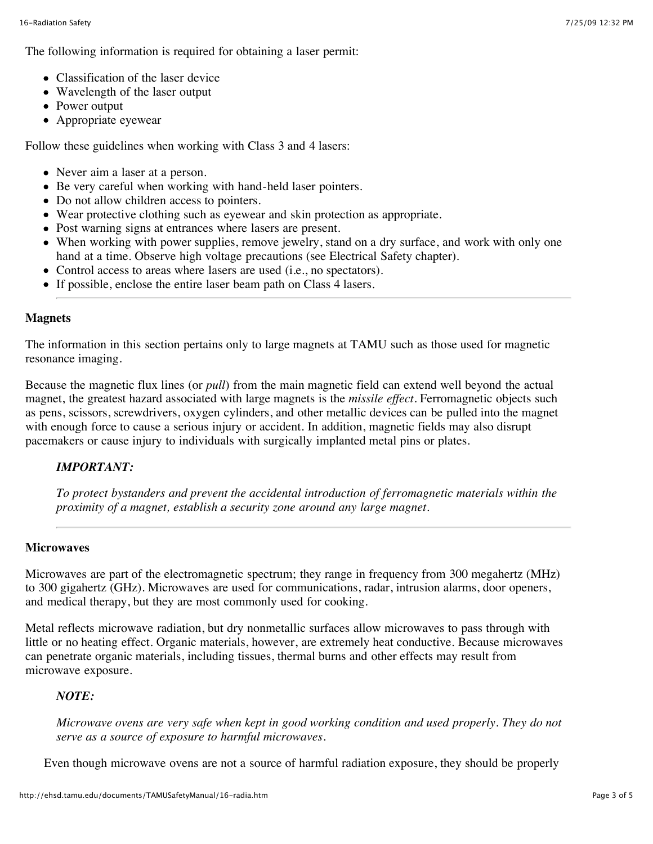The following information is required for obtaining a laser permit:

- Classification of the laser device
- Wavelength of the laser output
- Power output
- Appropriate eyewear

Follow these guidelines when working with Class 3 and 4 lasers:

- Never aim a laser at a person.
- Be very careful when working with hand-held laser pointers.
- Do not allow children access to pointers.
- Wear protective clothing such as eyewear and skin protection as appropriate.
- Post warning signs at entrances where lasers are present.
- When working with power supplies, remove jewelry, stand on a dry surface, and work with only one hand at a time. Observe high voltage precautions (see Electrical Safety chapter).
- Control access to areas where lasers are used (i.e., no spectators).
- If possible, enclose the entire laser beam path on Class 4 lasers.

### **Magnets**

The information in this section pertains only to large magnets at TAMU such as those used for magnetic resonance imaging.

Because the magnetic flux lines (or *pull*) from the main magnetic field can extend well beyond the actual magnet, the greatest hazard associated with large magnets is the *missile effect*. Ferromagnetic objects such as pens, scissors, screwdrivers, oxygen cylinders, and other metallic devices can be pulled into the magnet with enough force to cause a serious injury or accident. In addition, magnetic fields may also disrupt pacemakers or cause injury to individuals with surgically implanted metal pins or plates.

### *IMPORTANT:*

*To protect bystanders and prevent the accidental introduction of ferromagnetic materials within the proximity of a magnet, establish a security zone around any large magnet.*

### **Microwaves**

Microwaves are part of the electromagnetic spectrum; they range in frequency from 300 megahertz (MHz) to 300 gigahertz (GHz). Microwaves are used for communications, radar, intrusion alarms, door openers, and medical therapy, but they are most commonly used for cooking.

Metal reflects microwave radiation, but dry nonmetallic surfaces allow microwaves to pass through with little or no heating effect. Organic materials, however, are extremely heat conductive. Because microwaves can penetrate organic materials, including tissues, thermal burns and other effects may result from microwave exposure.

## *NOTE:*

*Microwave ovens are very safe when kept in good working condition and used properly. They do not serve as a source of exposure to harmful microwaves.*

Even though microwave ovens are not a source of harmful radiation exposure, they should be properly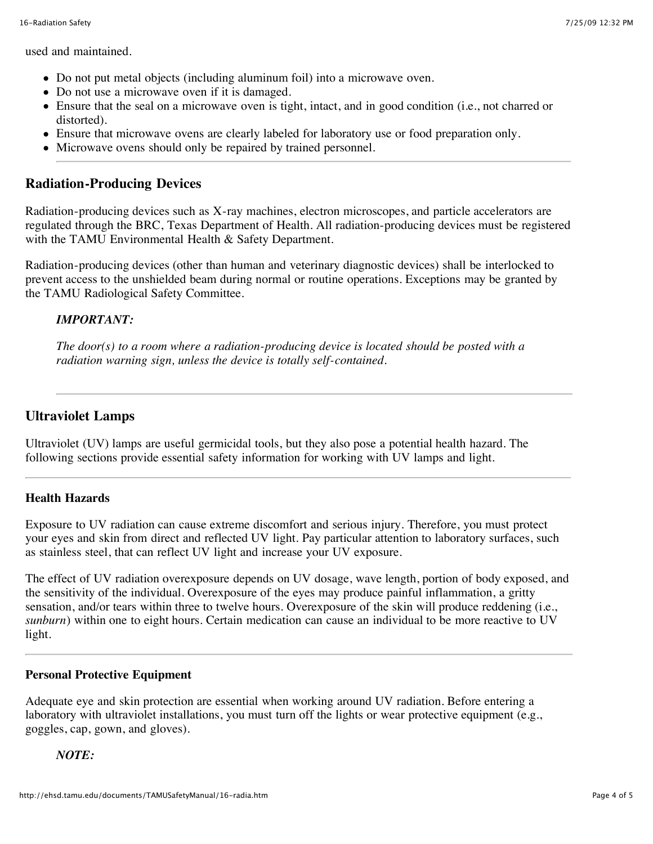used and maintained.

- Do not put metal objects (including aluminum foil) into a microwave oven.
- Do not use a microwave oven if it is damaged.
- Ensure that the seal on a microwave oven is tight, intact, and in good condition (i.e., not charred or distorted).
- Ensure that microwave ovens are clearly labeled for laboratory use or food preparation only.
- Microwave ovens should only be repaired by trained personnel.

# **Radiation-Producing Devices**

Radiation-producing devices such as X-ray machines, electron microscopes, and particle accelerators are regulated through the BRC, Texas Department of Health. All radiation-producing devices must be registered with the TAMU Environmental Health & Safety Department.

Radiation-producing devices (other than human and veterinary diagnostic devices) shall be interlocked to prevent access to the unshielded beam during normal or routine operations. Exceptions may be granted by the TAMU Radiological Safety Committee.

## *IMPORTANT:*

*The door(s) to a room where a radiation-producing device is located should be posted with a radiation warning sign, unless the device is totally self-contained.*

# **Ultraviolet Lamps**

Ultraviolet (UV) lamps are useful germicidal tools, but they also pose a potential health hazard. The following sections provide essential safety information for working with UV lamps and light.

## **Health Hazards**

Exposure to UV radiation can cause extreme discomfort and serious injury. Therefore, you must protect your eyes and skin from direct and reflected UV light. Pay particular attention to laboratory surfaces, such as stainless steel, that can reflect UV light and increase your UV exposure.

The effect of UV radiation overexposure depends on UV dosage, wave length, portion of body exposed, and the sensitivity of the individual. Overexposure of the eyes may produce painful inflammation, a gritty sensation, and/or tears within three to twelve hours. Overexposure of the skin will produce reddening (i.e., *sunburn*) within one to eight hours. Certain medication can cause an individual to be more reactive to UV light.

## **Personal Protective Equipment**

Adequate eye and skin protection are essential when working around UV radiation. Before entering a laboratory with ultraviolet installations, you must turn off the lights or wear protective equipment (e.g., goggles, cap, gown, and gloves).

## *NOTE:*